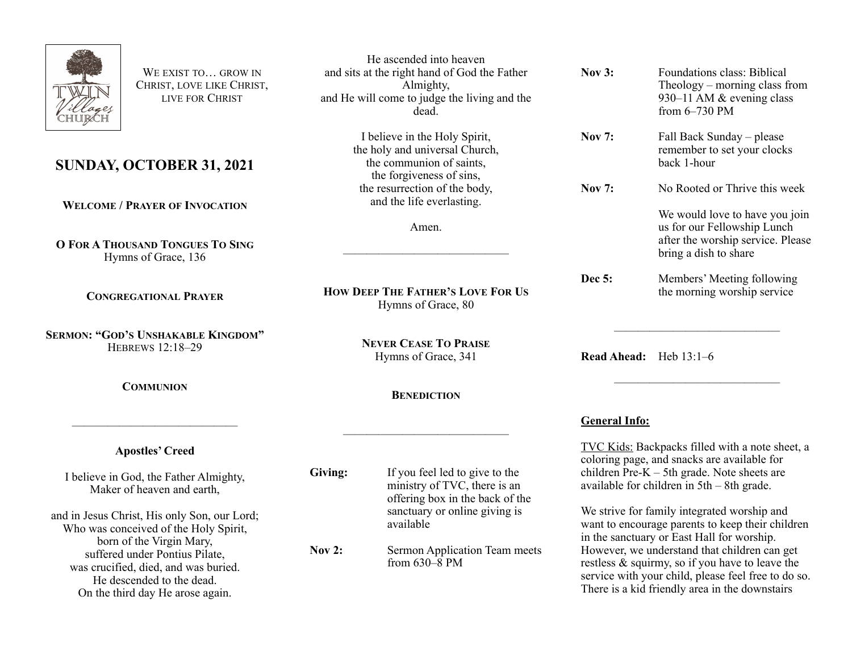

WE EXIST TO **GROW IN** CHRIST, LOVE LIKE CHRIST, LIVE FOR CHRIST

## **SUNDAY, OCTOBER 31, 2021**

**WELCOME / PRAYER OF INVOCATION**

**O FOR A THOUSAND TONGUES TO SING** Hymns of Grace, 136

**CONGREGATIONAL PRAYER**

**SERMON: "GOD'S UNSHAKABLE KINGDOM"** HEBREWS 12:18–29

**COMMUNION**

## **Apostles' Creed**

——————————————

I believe in God, the Father Almighty, Maker of heaven and earth,

and in Jesus Christ, His only Son, our Lord; Who was conceived of the Holy Spirit, born of the Virgin Mary, suffered under Pontius Pilate, was crucified, died, and was buried. He descended to the dead. On the third day He arose again.

He ascended into heaven and sits at the right hand of God the Father Almighty, and He will come to judge the living and the dead.

> I believe in the Holy Spirit, the holy and universal Church, the communion of saints, the forgiveness of sins, the resurrection of the body, and the life everlasting.

> > Amen.

——————————————

**HOW DEEP THE FATHER'S LOVE FOR US** Hymns of Grace, 80

> **NEVER CEASE TO PRAISE** Hymns of Grace, 341

> > **BENEDICTION**

——————————————

**Giving:** If you feel led to give to the ministry of TVC, there is an offering box in the back of the sanctuary or online giving is available

**Nov 2:** Sermon Application Team meets from  $630-\overline{8}$  PM

| <b>Nov 3:</b> | Foundations class: Biblical<br>Theology – morning class from<br>930–11 AM & evening class<br>from $6-730$ PM                |
|---------------|-----------------------------------------------------------------------------------------------------------------------------|
| <b>Nov 7:</b> | Fall Back Sunday – please<br>remember to set your clocks<br>back 1-hour                                                     |
| Nov 7:        | No Rooted or Thrive this week                                                                                               |
|               | We would love to have you join<br>us for our Fellowship Lunch<br>after the worship service. Please<br>bring a dish to share |
| <b>Dec 5:</b> | Members' Meeting following<br>the morning worship service                                                                   |

**Read Ahead:** Heb 13:1–6

## **General Info:**

TVC Kids: Backpacks filled with a note sheet, a coloring page, and snacks are available for children  $Pre-K - 5th$  grade. Note sheets are available for children in 5th – 8th grade.

——————————————

——————————————

We strive for family integrated worship and want to encourage parents to keep their children in the sanctuary or East Hall for worship. However, we understand that children can get restless & squirmy, so if you have to leave the service with your child, please feel free to do so. There is a kid friendly area in the downstairs